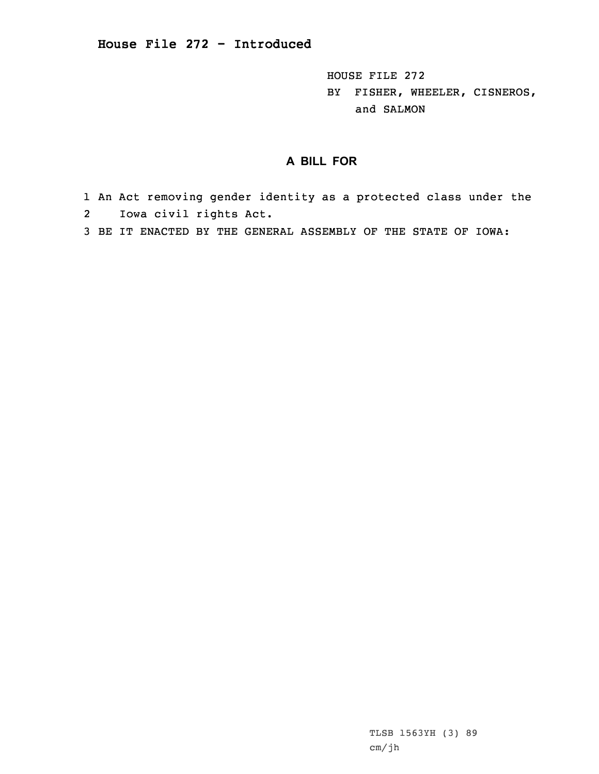**House File 272 - Introduced**

HOUSE FILE 272 BY FISHER, WHEELER, CISNEROS, and SALMON

## **A BILL FOR**

- 1 An Act removing gender identity as <sup>a</sup> protected class under the 2Iowa civil rights Act.
- 3 BE IT ENACTED BY THE GENERAL ASSEMBLY OF THE STATE OF IOWA: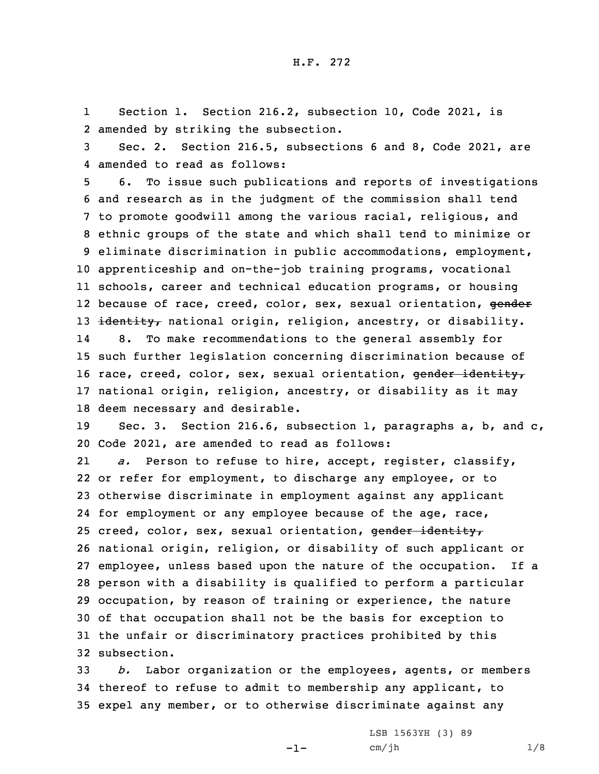1 Section 1. Section 216.2, subsection 10, Code 2021, is 2 amended by striking the subsection.

3 Sec. 2. Section 216.5, subsections 6 and 8, Code 2021, are 4 amended to read as follows:

 6. To issue such publications and reports of investigations and research as in the judgment of the commission shall tend to promote goodwill among the various racial, religious, and ethnic groups of the state and which shall tend to minimize or eliminate discrimination in public accommodations, employment, apprenticeship and on-the-job training programs, vocational schools, career and technical education programs, or housing 12 because of race, creed, color, sex, sexual orientation, <del>gender</del> 13 identity, national origin, religion, ancestry, or disability. 14 8. To make recommendations to the general assembly for such further legislation concerning discrimination because of 16 race, creed, color, sex, sexual orientation, gender identity, national origin, religion, ancestry, or disability as it may deem necessary and desirable.

19 Sec. 3. Section 216.6, subsection 1, paragraphs a, b, and c, 20 Code 2021, are amended to read as follows:

21 *a.* Person to refuse to hire, accept, register, classify, or refer for employment, to discharge any employee, or to otherwise discriminate in employment against any applicant 24 for employment or any employee because of the age, race, 25 creed, color, sex, sexual orientation, gender identity, national origin, religion, or disability of such applicant or employee, unless based upon the nature of the occupation. If <sup>a</sup> person with <sup>a</sup> disability is qualified to perform <sup>a</sup> particular occupation, by reason of training or experience, the nature of that occupation shall not be the basis for exception to the unfair or discriminatory practices prohibited by this subsection.

33 *b.* Labor organization or the employees, agents, or members 34 thereof to refuse to admit to membership any applicant, to 35 expel any member, or to otherwise discriminate against any

-1-

LSB 1563YH (3) 89 cm/jh 1/8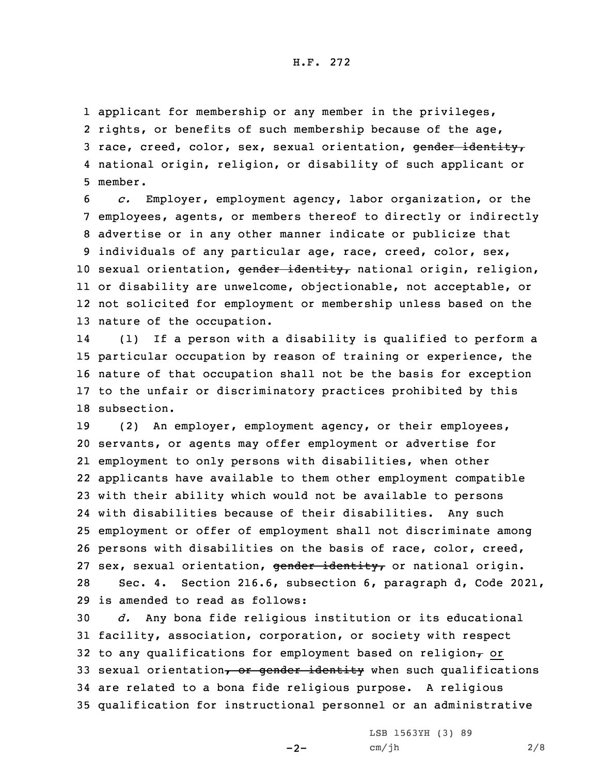1 applicant for membership or any member in the privileges, 2 rights, or benefits of such membership because of the age, 3 race, creed, color, sex, sexual orientation, gender identity, 4 national origin, religion, or disability of such applicant or 5 member.

 *c.* Employer, employment agency, labor organization, or the employees, agents, or members thereof to directly or indirectly advertise or in any other manner indicate or publicize that individuals of any particular age, race, creed, color, sex, 10 sexual orientation, gender identity, national origin, religion, or disability are unwelcome, objectionable, not acceptable, or not solicited for employment or membership unless based on the nature of the occupation.

14 (1) If <sup>a</sup> person with <sup>a</sup> disability is qualified to perform <sup>a</sup> particular occupation by reason of training or experience, the nature of that occupation shall not be the basis for exception to the unfair or discriminatory practices prohibited by this subsection.

 (2) An employer, employment agency, or their employees, servants, or agents may offer employment or advertise for employment to only persons with disabilities, when other applicants have available to them other employment compatible with their ability which would not be available to persons with disabilities because of their disabilities. Any such employment or offer of employment shall not discriminate among persons with disabilities on the basis of race, color, creed, 27 sex, sexual orientation, gender identity, or national origin. Sec. 4. Section 216.6, subsection 6, paragraph d, Code 2021, is amended to read as follows:

 *d.* Any bona fide religious institution or its educational facility, association, corporation, or society with respect 32 to any qualifications for employment based on religion $<sub>r</sub>$  or</sub> 33 sexual orientation, or gender identity when such qualifications are related to <sup>a</sup> bona fide religious purpose. <sup>A</sup> religious qualification for instructional personnel or an administrative

 $-2-$ 

LSB 1563YH (3) 89 cm/jh 2/8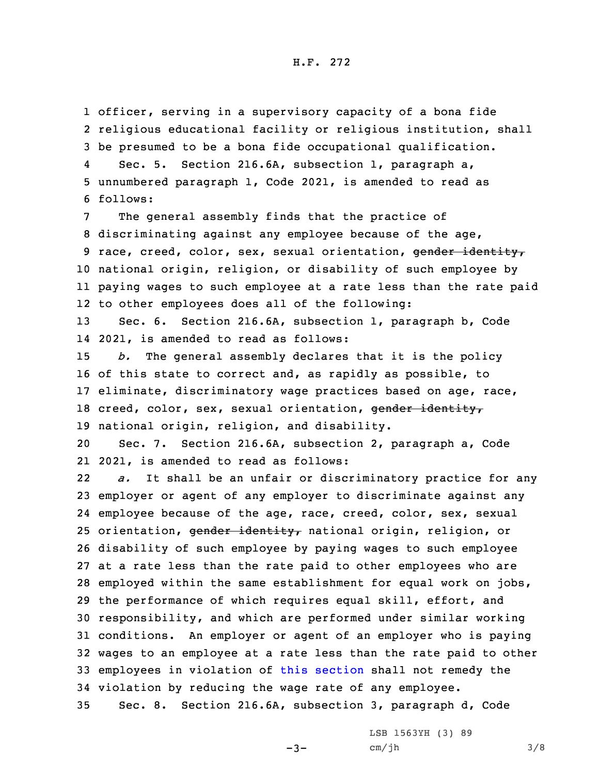## H.F. 272

1 officer, serving in <sup>a</sup> supervisory capacity of <sup>a</sup> bona fide 2 religious educational facility or religious institution, shall 3 be presumed to be <sup>a</sup> bona fide occupational qualification.

4 Sec. 5. Section 216.6A, subsection 1, paragraph a, 5 unnumbered paragraph 1, Code 2021, is amended to read as 6 follows:

 The general assembly finds that the practice of discriminating against any employee because of the age, 9 race, creed, color, sex, sexual orientation, gender identity, national origin, religion, or disability of such employee by paying wages to such employee at <sup>a</sup> rate less than the rate paid to other employees does all of the following:

13 Sec. 6. Section 216.6A, subsection 1, paragraph b, Code 14 2021, is amended to read as follows:

 *b.* The general assembly declares that it is the policy of this state to correct and, as rapidly as possible, to eliminate, discriminatory wage practices based on age, race, 18 creed, color, sex, sexual orientation, gender identity, national origin, religion, and disability.

20 Sec. 7. Section 216.6A, subsection 2, paragraph a, Code 21 2021, is amended to read as follows:

22 *a.* It shall be an unfair or discriminatory practice for any employer or agent of any employer to discriminate against any employee because of the age, race, creed, color, sex, sexual 25 orientation, gender identity, national origin, religion, or disability of such employee by paying wages to such employee at <sup>a</sup> rate less than the rate paid to other employees who are employed within the same establishment for equal work on jobs, the performance of which requires equal skill, effort, and responsibility, and which are performed under similar working conditions. An employer or agent of an employer who is paying wages to an employee at <sup>a</sup> rate less than the rate paid to other employees in violation of this [section](https://www.legis.iowa.gov/docs/code/2021/216.6A.pdf) shall not remedy the violation by reducing the wage rate of any employee.

35 Sec. 8. Section 216.6A, subsection 3, paragraph d, Code

 $-3-$ 

LSB 1563YH (3) 89 cm/jh 3/8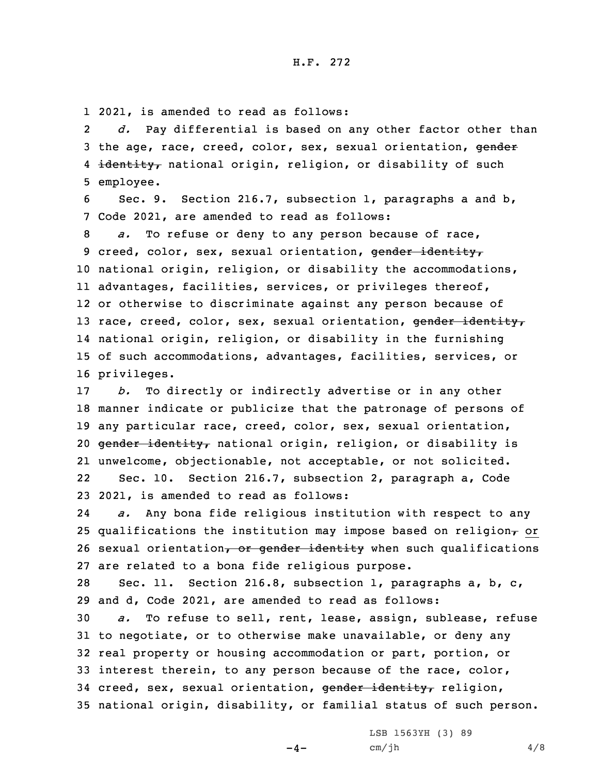1 2021, is amended to read as follows:

2 *d.* Pay differential is based on any other factor other than 3 the age, race, creed, color, sex, sexual orientation, gender 4 <del>identity,</del> national origin, religion, or disability of such 5 employee.

6 Sec. 9. Section 216.7, subsection 1, paragraphs <sup>a</sup> and b, 7 Code 2021, are amended to read as follows:

 *a.* To refuse or deny to any person because of race, 9 creed, color, sex, sexual orientation, gender identity, national origin, religion, or disability the accommodations, advantages, facilities, services, or privileges thereof, or otherwise to discriminate against any person because of 13 race, creed, color, sex, sexual orientation, gender identity, national origin, religion, or disability in the furnishing of such accommodations, advantages, facilities, services, or privileges.

 *b.* To directly or indirectly advertise or in any other manner indicate or publicize that the patronage of persons of any particular race, creed, color, sex, sexual orientation, 20 gender identity, national origin, religion, or disability is unwelcome, objectionable, not acceptable, or not solicited. 22 Sec. 10. Section 216.7, subsection 2, paragraph a, Code 2021, is amended to read as follows:

24 *a.* Any bona fide religious institution with respect to any 25 qualifications the institution may impose based on religion $<sub>r</sub>$  or</sub> 26 sexual orientation, or gender identity when such qualifications 27 are related to <sup>a</sup> bona fide religious purpose.

28 Sec. 11. Section 216.8, subsection 1, paragraphs a, b, c, 29 and d, Code 2021, are amended to read as follows:

 *a.* To refuse to sell, rent, lease, assign, sublease, refuse to negotiate, or to otherwise make unavailable, or deny any real property or housing accommodation or part, portion, or interest therein, to any person because of the race, color, 34 creed, sex, sexual orientation, gender identity, religion, national origin, disability, or familial status of such person.

 $-4-$ 

LSB 1563YH (3) 89  $cm/jh$  4/8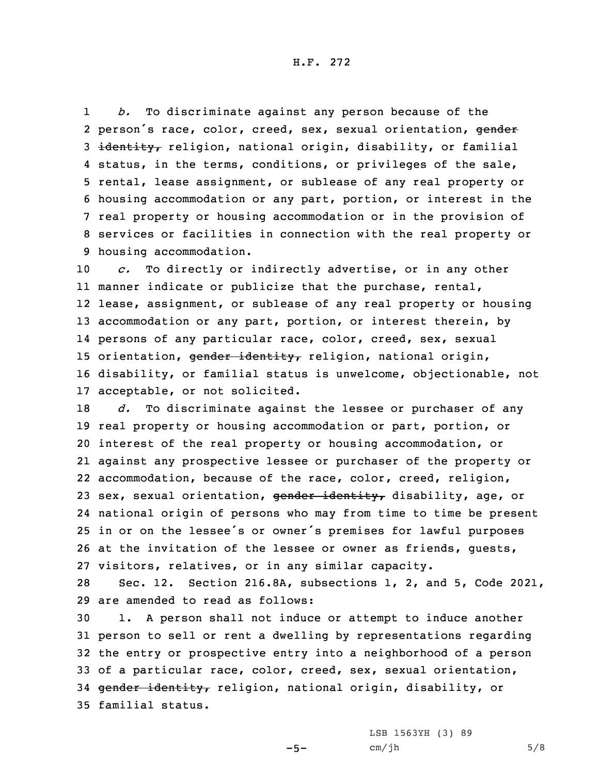H.F. 272

1 *b.* To discriminate against any person because of the 2 person's race, color, creed, sex, sexual orientation, gender 3 identity, religion, national origin, disability, or familial 4 status, in the terms, conditions, or privileges of the sale, 5 rental, lease assignment, or sublease of any real property or 6 housing accommodation or any part, portion, or interest in the 7 real property or housing accommodation or in the provision of 8 services or facilities in connection with the real property or 9 housing accommodation.

 *c.* To directly or indirectly advertise, or in any other manner indicate or publicize that the purchase, rental, lease, assignment, or sublease of any real property or housing 13 accommodation or any part, portion, or interest therein, by persons of any particular race, color, creed, sex, sexual 15 orientation, gender identity, religion, national origin, disability, or familial status is unwelcome, objectionable, not acceptable, or not solicited.

 *d.* To discriminate against the lessee or purchaser of any real property or housing accommodation or part, portion, or interest of the real property or housing accommodation, or against any prospective lessee or purchaser of the property or accommodation, because of the race, color, creed, religion, 23 sex, sexual orientation, gender identity, disability, age, or national origin of persons who may from time to time be present in or on the lessee's or owner's premises for lawful purposes at the invitation of the lessee or owner as friends, guests, visitors, relatives, or in any similar capacity.

28 Sec. 12. Section 216.8A, subsections 1, 2, and 5, Code 2021, 29 are amended to read as follows:

 1. <sup>A</sup> person shall not induce or attempt to induce another person to sell or rent <sup>a</sup> dwelling by representations regarding the entry or prospective entry into <sup>a</sup> neighborhood of <sup>a</sup> person of <sup>a</sup> particular race, color, creed, sex, sexual orientation, 34 gender identity, religion, national origin, disability, or familial status.

 $-5-$ 

LSB 1563YH (3) 89  $cm/jh$  5/8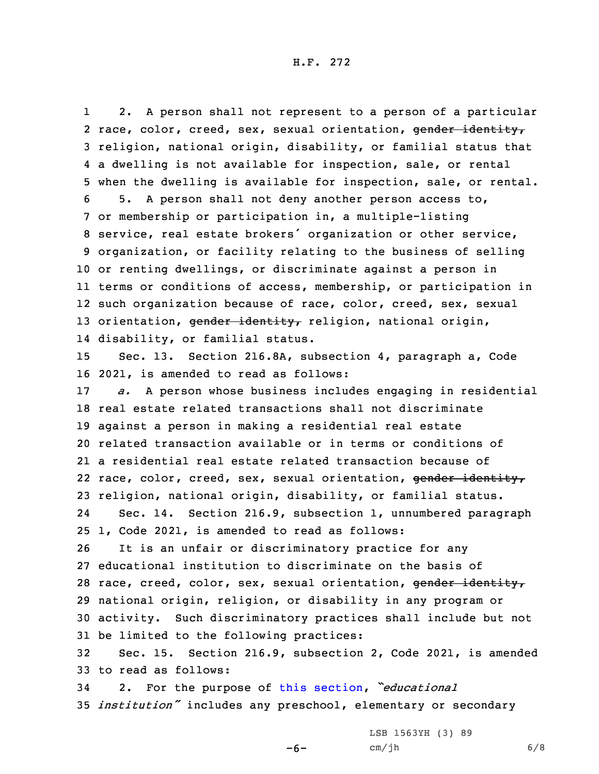1 2. <sup>A</sup> person shall not represent to <sup>a</sup> person of <sup>a</sup> particular 2 race, color, creed, sex, sexual orientation, gender identity, religion, national origin, disability, or familial status that <sup>a</sup> dwelling is not available for inspection, sale, or rental when the dwelling is available for inspection, sale, or rental. 5. <sup>A</sup> person shall not deny another person access to, or membership or participation in, <sup>a</sup> multiple-listing service, real estate brokers' organization or other service, organization, or facility relating to the business of selling or renting dwellings, or discriminate against <sup>a</sup> person in terms or conditions of access, membership, or participation in such organization because of race, color, creed, sex, sexual 13 orientation, gender identity, religion, national origin, disability, or familial status. Sec. 13. Section 216.8A, subsection 4, paragraph a, Code

16 2021, is amended to read as follows:

 *a.* <sup>A</sup> person whose business includes engaging in residential real estate related transactions shall not discriminate against <sup>a</sup> person in making <sup>a</sup> residential real estate related transaction available or in terms or conditions of <sup>a</sup> residential real estate related transaction because of 22 race, color, creed, sex, sexual orientation, gender identity, religion, national origin, disability, or familial status. 24Sec. 14. Section 216.9, subsection 1, unnumbered paragraph

25 1, Code 2021, is amended to read as follows:

 It is an unfair or discriminatory practice for any educational institution to discriminate on the basis of 28 race, creed, color, sex, sexual orientation, gender identity, national origin, religion, or disability in any program or activity. Such discriminatory practices shall include but not be limited to the following practices:

32 Sec. 15. Section 216.9, subsection 2, Code 2021, is amended 33 to read as follows:

<sup>34</sup> 2. For the purpose of this [section](https://www.legis.iowa.gov/docs/code/2021/216.9.pdf), *"educational* <sup>35</sup> *institution"* includes any preschool, elementary or secondary

-6-

LSB 1563YH (3) 89 cm/jh 6/8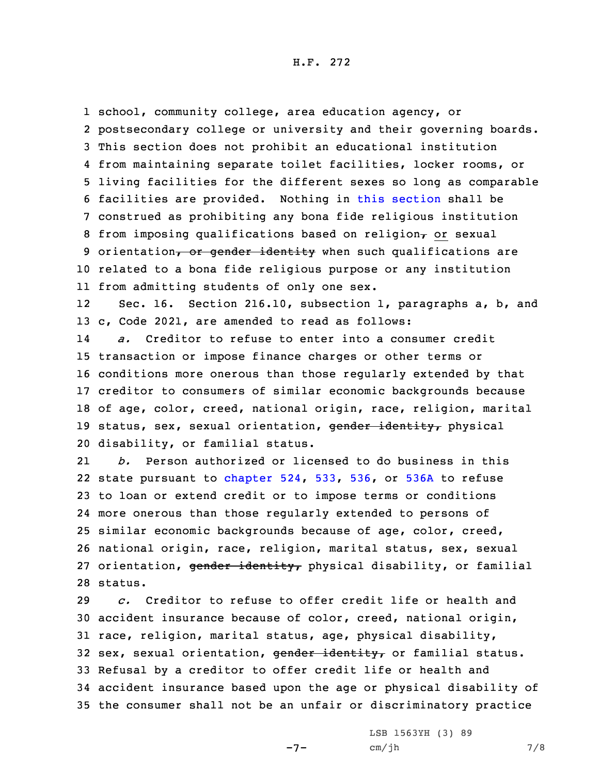school, community college, area education agency, or postsecondary college or university and their governing boards. This section does not prohibit an educational institution from maintaining separate toilet facilities, locker rooms, or living facilities for the different sexes so long as comparable facilities are provided. Nothing in this [section](https://www.legis.iowa.gov/docs/code/2021/216.9.pdf) shall be construed as prohibiting any bona fide religious institution 8 from imposing qualifications based on religion $<sub>\tau</sub>$  or sexual</sub> 9 orientation, or gender identity when such qualifications are related to <sup>a</sup> bona fide religious purpose or any institution from admitting students of only one sex.

12 Sec. 16. Section 216.10, subsection 1, paragraphs a, b, and 13 c, Code 2021, are amended to read as follows:

14 *a.* Creditor to refuse to enter into <sup>a</sup> consumer credit transaction or impose finance charges or other terms or conditions more onerous than those regularly extended by that creditor to consumers of similar economic backgrounds because of age, color, creed, national origin, race, religion, marital 19 status, sex, sexual orientation, gender identity, physical disability, or familial status.

21 *b.* Person authorized or licensed to do business in this 22 state pursuant to [chapter](https://www.legis.iowa.gov/docs/code/2021/524.pdf) 524, [533](https://www.legis.iowa.gov/docs/code/2021/533.pdf), [536](https://www.legis.iowa.gov/docs/code/2021/536.pdf), or [536A](https://www.legis.iowa.gov/docs/code/2021/536A.pdf) to refuse 23 to loan or extend credit or to impose terms or conditions 24 more onerous than those regularly extended to persons of 25 similar economic backgrounds because of age, color, creed, 26 national origin, race, religion, marital status, sex, sexual 27 orientation, gender identity, physical disability, or familial 28 status.

 *c.* Creditor to refuse to offer credit life or health and accident insurance because of color, creed, national origin, race, religion, marital status, age, physical disability, 32 sex, sexual orientation, gender identity, or familial status. Refusal by <sup>a</sup> creditor to offer credit life or health and accident insurance based upon the age or physical disability of the consumer shall not be an unfair or discriminatory practice

-7-

LSB 1563YH (3) 89 cm/jh 7/8